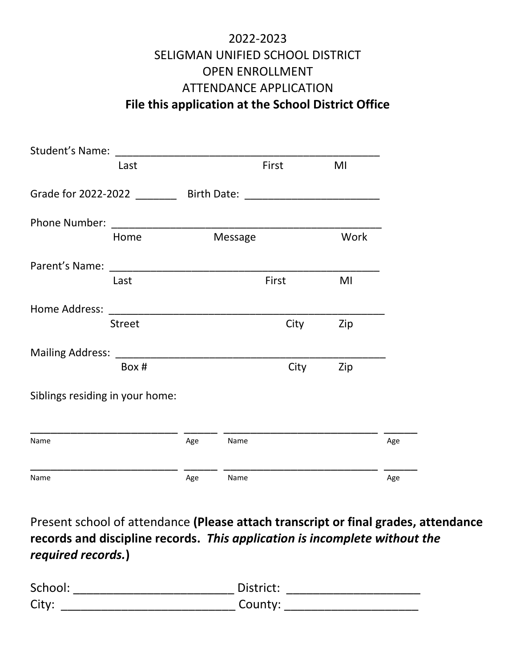## 2022-2023 SELIGMAN UNIFIED SCHOOL DISTRICT OPEN ENROLLMENT ATTENDANCE APPLICATION **File this application at the School District Office**

|                                 | Last          |     |         | First | MI   |     |
|---------------------------------|---------------|-----|---------|-------|------|-----|
|                                 |               |     |         |       |      |     |
| Phone Number:                   |               |     |         |       |      |     |
|                                 | Home          |     | Message |       | Work |     |
|                                 |               |     |         |       |      |     |
|                                 | Last          |     |         | First | MI   |     |
| Home Address:                   |               |     |         |       |      |     |
|                                 | <b>Street</b> |     |         | City  | Zip  |     |
|                                 |               |     |         |       |      |     |
|                                 | Box #         |     |         | City  | Zip  |     |
| Siblings residing in your home: |               |     |         |       |      |     |
| Name                            |               | Age | Name    |       |      | Age |
|                                 |               |     |         |       |      |     |
| Name                            |               | Age | Name    |       |      | Age |

Present school of attendance **(Please attach transcript or final grades, attendance records and discipline records.** *This application is incomplete without the required records.***)**

| School: | District: |
|---------|-----------|
| City:   | County:   |